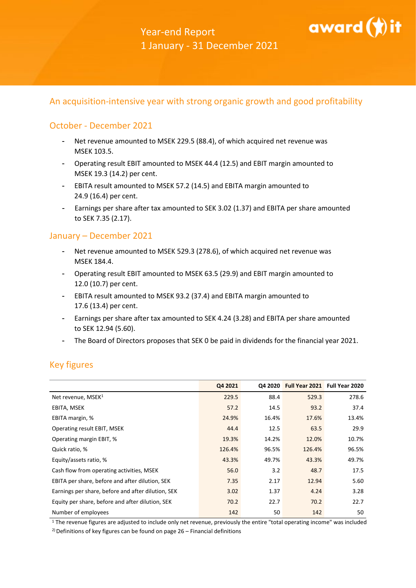

# An acquisition-intensive year with strong organic growth and good profitability

## October - December 2021

- Net revenue amounted to MSEK 229.5 (88.4), of which acquired net revenue was MSEK 103.5.
- Operating result EBIT amounted to MSEK 44.4 (12.5) and EBIT margin amounted to MSEK 19.3 (14.2) per cent.
- EBITA result amounted to MSEK 57.2 (14.5) and EBITA margin amounted to 24.9 (16.4) per cent.
- Earnings per share after tax amounted to SEK 3.02 (1.37) and EBITA per share amounted to SEK 7.35 (2.17).

### January – December 2021

- Net revenue amounted to MSEK 529.3 (278.6), of which acquired net revenue was MSEK 184.4.
- Operating result EBIT amounted to MSEK 63.5 (29.9) and EBIT margin amounted to 12.0 (10.7) per cent.
- EBITA result amounted to MSEK 93.2 (37.4) and EBITA margin amounted to 17.6 (13.4) per cent.
- Earnings per share after tax amounted to SEK 4.24 (3.28) and EBITA per share amounted to SEK 12.94 (5.60).
- The Board of Directors proposes that SEK 0 be paid in dividends for the financial year 2021.

# Key figures

|                                                    | Q4 2021 |       | Q4 2020 Full Year 2021 Full Year 2020 |       |
|----------------------------------------------------|---------|-------|---------------------------------------|-------|
| Net revenue, MSEK <sup>1</sup>                     | 229.5   | 88.4  | 529.3                                 | 278.6 |
| EBITA, MSEK                                        | 57.2    | 14.5  | 93.2                                  | 37.4  |
| EBITA margin, %                                    | 24.9%   | 16.4% | 17.6%                                 | 13.4% |
| Operating result EBIT, MSEK                        | 44.4    | 12.5  | 63.5                                  | 29.9  |
| Operating margin EBIT, %                           | 19.3%   | 14.2% | 12.0%                                 | 10.7% |
| Quick ratio, %                                     | 126.4%  | 96.5% | 126.4%                                | 96.5% |
| Equity/assets ratio, %                             | 43.3%   | 49.7% | 43.3%                                 | 49.7% |
| Cash flow from operating activities, MSEK          | 56.0    | 3.2   | 48.7                                  | 17.5  |
| EBITA per share, before and after dilution, SEK    | 7.35    | 2.17  | 12.94                                 | 5.60  |
| Earnings per share, before and after dilution, SEK | 3.02    | 1.37  | 4.24                                  | 3.28  |
| Equity per share, before and after dilution, SEK   | 70.2    | 22.7  | 70.2                                  | 22.7  |
| Number of employees                                | 142     | 50    | 142                                   | 50    |

<sup>1</sup> The revenue figures are adjusted to include only net revenue, previously the entire "total operating income" was included

<sup>2)</sup> Definitions of key figures can be found on page  $26$  – Financial definitions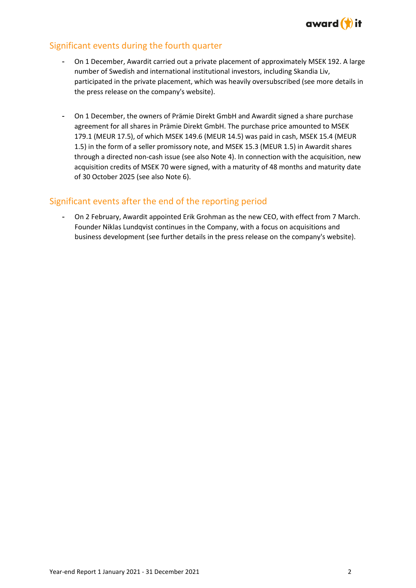

# Significant events during the fourth quarter

- On 1 December, Awardit carried out a private placement of approximately MSEK 192. A large number of Swedish and international institutional investors, including Skandia Liv, participated in the private placement, which was heavily oversubscribed (see more details in the press release on the company's website).
- On 1 December, the owners of Prämie Direkt GmbH and Awardit signed a share purchase agreement for all shares in Prämie Direkt GmbH. The purchase price amounted to MSEK 179.1 (MEUR 17.5), of which MSEK 149.6 (MEUR 14.5) was paid in cash, MSEK 15.4 (MEUR 1.5) in the form of a seller promissory note, and MSEK 15.3 (MEUR 1.5) in Awardit shares through a directed non-cash issue (see also Note 4). In connection with the acquisition, new acquisition credits of MSEK 70 were signed, with a maturity of 48 months and maturity date of 30 October 2025 (see also Note 6).

# Significant events after the end of the reporting period

- On 2 February, Awardit appointed Erik Grohman as the new CEO, with effect from 7 March. Founder Niklas Lundqvist continues in the Company, with a focus on acquisitions and business development (see further details in the press release on the company's website).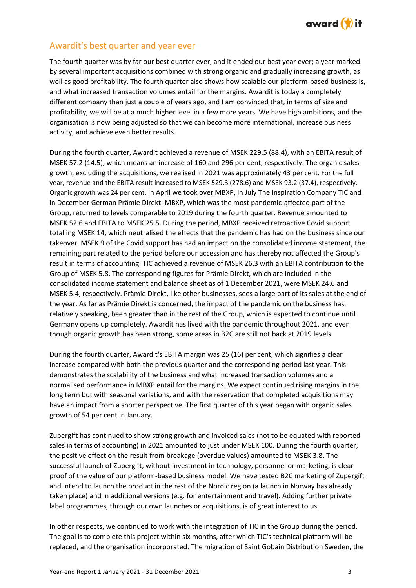

## Awardit's best quarter and year ever

The fourth quarter was by far our best quarter ever, and it ended our best year ever; a year marked by several important acquisitions combined with strong organic and gradually increasing growth, as well as good profitability. The fourth quarter also shows how scalable our platform-based business is, and what increased transaction volumes entail for the margins. Awardit is today a completely different company than just a couple of years ago, and I am convinced that, in terms of size and profitability, we will be at a much higher level in a few more years. We have high ambitions, and the organisation is now being adjusted so that we can become more international, increase business activity, and achieve even better results.

During the fourth quarter, Awardit achieved a revenue of MSEK 229.5 (88.4), with an EBITA result of MSEK 57.2 (14.5), which means an increase of 160 and 296 per cent, respectively. The organic sales growth, excluding the acquisitions, we realised in 2021 was approximately 43 per cent. For the full year, revenue and the EBITA result increased to MSEK 529.3 (278.6) and MSEK 93.2 (37.4), respectively. Organic growth was 24 per cent. In April we took over MBXP, in July The Inspiration Company TIC and in December German Prämie Direkt. MBXP, which was the most pandemic-affected part of the Group, returned to levels comparable to 2019 during the fourth quarter. Revenue amounted to MSEK 52.6 and EBITA to MSEK 25.5. During the period, MBXP received retroactive Covid support totalling MSEK 14, which neutralised the effects that the pandemic has had on the business since our takeover. MSEK 9 of the Covid support has had an impact on the consolidated income statement, the remaining part related to the period before our accession and has thereby not affected the Group's result in terms of accounting. TIC achieved a revenue of MSEK 26.3 with an EBITA contribution to the Group of MSEK 5.8. The corresponding figures for Prämie Direkt, which are included in the consolidated income statement and balance sheet as of 1 December 2021, were MSEK 24.6 and MSEK 5.4, respectively. Prämie Direkt, like other businesses, sees a large part of its sales at the end of the year. As far as Prämie Direkt is concerned, the impact of the pandemic on the business has, relatively speaking, been greater than in the rest of the Group, which is expected to continue until Germany opens up completely. Awardit has lived with the pandemic throughout 2021, and even though organic growth has been strong, some areas in B2C are still not back at 2019 levels.

During the fourth quarter, Awardit's EBITA margin was 25 (16) per cent, which signifies a clear increase compared with both the previous quarter and the corresponding period last year. This demonstrates the scalability of the business and what increased transaction volumes and a normalised performance in MBXP entail for the margins. We expect continued rising margins in the long term but with seasonal variations, and with the reservation that completed acquisitions may have an impact from a shorter perspective. The first quarter of this year began with organic sales growth of 54 per cent in January.

Zupergift has continued to show strong growth and invoiced sales (not to be equated with reported sales in terms of accounting) in 2021 amounted to just under MSEK 100. During the fourth quarter, the positive effect on the result from breakage (overdue values) amounted to MSEK 3.8. The successful launch of Zupergift, without investment in technology, personnel or marketing, is clear proof of the value of our platform-based business model. We have tested B2C marketing of Zupergift and intend to launch the product in the rest of the Nordic region (a launch in Norway has already taken place) and in additional versions (e.g. for entertainment and travel). Adding further private label programmes, through our own launches or acquisitions, is of great interest to us.

In other respects, we continued to work with the integration of TIC in the Group during the period. The goal is to complete this project within six months, after which TIC's technical platform will be replaced, and the organisation incorporated. The migration of Saint Gobain Distribution Sweden, the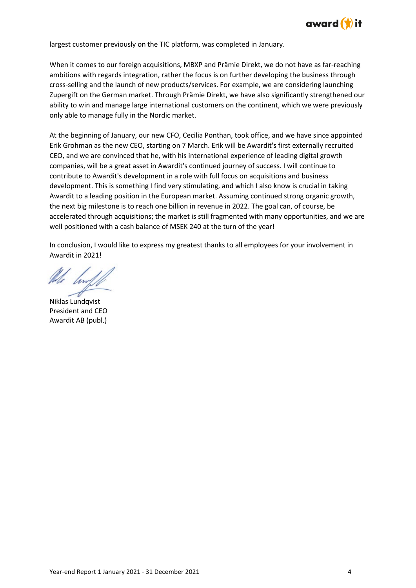

largest customer previously on the TIC platform, was completed in January.

When it comes to our foreign acquisitions, MBXP and Prämie Direkt, we do not have as far-reaching ambitions with regards integration, rather the focus is on further developing the business through cross-selling and the launch of new products/services. For example, we are considering launching Zupergift on the German market. Through Prämie Direkt, we have also significantly strengthened our ability to win and manage large international customers on the continent, which we were previously only able to manage fully in the Nordic market.

At the beginning of January, our new CFO, Cecilia Ponthan, took office, and we have since appointed Erik Grohman as the new CEO, starting on 7 March. Erik will be Awardit's first externally recruited CEO, and we are convinced that he, with his international experience of leading digital growth companies, will be a great asset in Awardit's continued journey of success. I will continue to contribute to Awardit's development in a role with full focus on acquisitions and business development. This is something I find very stimulating, and which I also know is crucial in taking Awardit to a leading position in the European market. Assuming continued strong organic growth, the next big milestone is to reach one billion in revenue in 2022. The goal can, of course, be accelerated through acquisitions; the market is still fragmented with many opportunities, and we are well positioned with a cash balance of MSEK 240 at the turn of the year!

In conclusion, I would like to express my greatest thanks to all employees for your involvement in Awardit in 2021!

lin

Niklas Lundqvist President and CEO Awardit AB (publ.)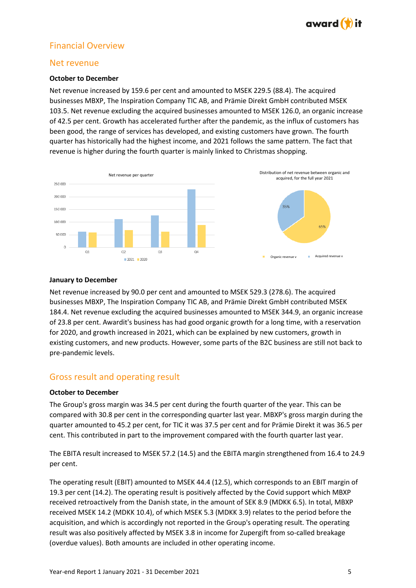

# Financial Overview

### Net revenue

### **October to December**

Net revenue increased by 159.6 per cent and amounted to MSEK 229.5 (88.4). The acquired businesses MBXP, The Inspiration Company TIC AB, and Prämie Direkt GmbH contributed MSEK 103.5. Net revenue excluding the acquired businesses amounted to MSEK 126.0, an organic increase of 42.5 per cent. Growth has accelerated further after the pandemic, as the influx of customers has been good, the range of services has developed, and existing customers have grown. The fourth quarter has historically had the highest income, and 2021 follows the same pattern. The fact that revenue is higher during the fourth quarter is mainly linked to Christmas shopping.



#### **January to December**

Net revenue increased by 90.0 per cent and amounted to MSEK 529.3 (278.6). The acquired businesses MBXP, The Inspiration Company TIC AB, and Prämie Direkt GmbH contributed MSEK 184.4. Net revenue excluding the acquired businesses amounted to MSEK 344.9, an organic increase of 23.8 per cent. Awardit's business has had good organic growth for a long time, with a reservation for 2020, and growth increased in 2021, which can be explained by new customers, growth in existing customers, and new products. However, some parts of the B2C business are still not back to pre-pandemic levels.

## Gross result and operating result

### **October to December**

The Group's gross margin was 34.5 per cent during the fourth quarter of the year. This can be compared with 30.8 per cent in the corresponding quarter last year. MBXP's gross margin during the quarter amounted to 45.2 per cent, for TIC it was 37.5 per cent and for Prämie Direkt it was 36.5 per cent. This contributed in part to the improvement compared with the fourth quarter last year.

The EBITA result increased to MSEK 57.2 (14.5) and the EBITA margin strengthened from 16.4 to 24.9 per cent.

The operating result (EBIT) amounted to MSEK 44.4 (12.5), which corresponds to an EBIT margin of 19.3 per cent (14.2). The operating result is positively affected by the Covid support which MBXP received retroactively from the Danish state, in the amount of SEK 8.9 (MDKK 6.5). In total, MBXP received MSEK 14.2 (MDKK 10.4), of which MSEK 5.3 (MDKK 3.9) relates to the period before the acquisition, and which is accordingly not reported in the Group's operating result. The operating result was also positively affected by MSEK 3.8 in income for Zupergift from so-called breakage (overdue values). Both amounts are included in other operating income.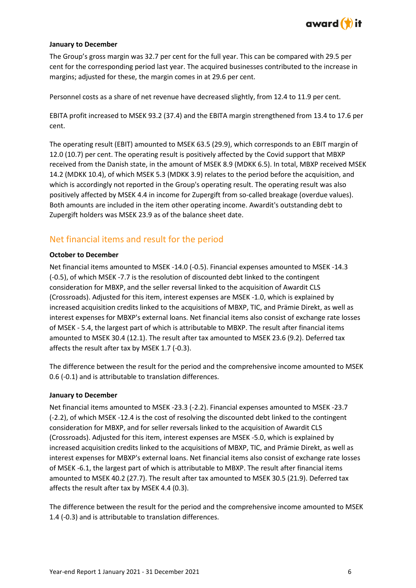

### **January to December**

The Group's gross margin was 32.7 per cent for the full year. This can be compared with 29.5 per cent for the corresponding period last year. The acquired businesses contributed to the increase in margins; adjusted for these, the margin comes in at 29.6 per cent.

Personnel costs as a share of net revenue have decreased slightly, from 12.4 to 11.9 per cent.

EBITA profit increased to MSEK 93.2 (37.4) and the EBITA margin strengthened from 13.4 to 17.6 per cent.

The operating result (EBIT) amounted to MSEK 63.5 (29.9), which corresponds to an EBIT margin of 12.0 (10.7) per cent. The operating result is positively affected by the Covid support that MBXP received from the Danish state, in the amount of MSEK 8.9 (MDKK 6.5). In total, MBXP received MSEK 14.2 (MDKK 10.4), of which MSEK 5.3 (MDKK 3.9) relates to the period before the acquisition, and which is accordingly not reported in the Group's operating result. The operating result was also positively affected by MSEK 4.4 in income for Zupergift from so-called breakage (overdue values). Both amounts are included in the item other operating income. Awardit's outstanding debt to Zupergift holders was MSEK 23.9 as of the balance sheet date.

# Net financial items and result for the period

#### **October to December**

Net financial items amounted to MSEK -14.0 (-0.5). Financial expenses amounted to MSEK -14.3 (-0.5), of which MSEK -7.7 is the resolution of discounted debt linked to the contingent consideration for MBXP, and the seller reversal linked to the acquisition of Awardit CLS (Crossroads). Adjusted for this item, interest expenses are MSEK -1.0, which is explained by increased acquisition credits linked to the acquisitions of MBXP, TIC, and Prämie Direkt, as well as interest expenses for MBXP's external loans. Net financial items also consist of exchange rate losses of MSEK - 5.4, the largest part of which is attributable to MBXP. The result after financial items amounted to MSEK 30.4 (12.1). The result after tax amounted to MSEK 23.6 (9.2). Deferred tax affects the result after tax by MSEK 1.7 (-0.3).

The difference between the result for the period and the comprehensive income amounted to MSEK 0.6 (-0.1) and is attributable to translation differences.

#### **January to December**

Net financial items amounted to MSEK -23.3 (-2.2). Financial expenses amounted to MSEK -23.7 (-2.2), of which MSEK -12.4 is the cost of resolving the discounted debt linked to the contingent consideration for MBXP, and for seller reversals linked to the acquisition of Awardit CLS (Crossroads). Adjusted for this item, interest expenses are MSEK -5.0, which is explained by increased acquisition credits linked to the acquisitions of MBXP, TIC, and Prämie Direkt, as well as interest expenses for MBXP's external loans. Net financial items also consist of exchange rate losses of MSEK -6.1, the largest part of which is attributable to MBXP. The result after financial items amounted to MSEK 40.2 (27.7). The result after tax amounted to MSEK 30.5 (21.9). Deferred tax affects the result after tax by MSEK 4.4 (0.3).

The difference between the result for the period and the comprehensive income amounted to MSEK 1.4 (-0.3) and is attributable to translation differences.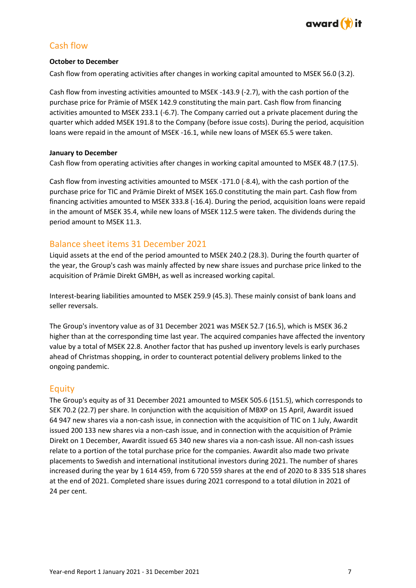

# Cash flow

### **October to December**

Cash flow from operating activities after changes in working capital amounted to MSEK 56.0 (3.2).

Cash flow from investing activities amounted to MSEK -143.9 (-2.7), with the cash portion of the purchase price for Prämie of MSEK 142.9 constituting the main part. Cash flow from financing activities amounted to MSEK 233.1 (-6.7). The Company carried out a private placement during the quarter which added MSEK 191.8 to the Company (before issue costs). During the period, acquisition loans were repaid in the amount of MSEK -16.1, while new loans of MSEK 65.5 were taken.

### **January to December**

Cash flow from operating activities after changes in working capital amounted to MSEK 48.7 (17.5).

Cash flow from investing activities amounted to MSEK -171.0 (-8.4), with the cash portion of the purchase price for TIC and Prämie Direkt of MSEK 165.0 constituting the main part. Cash flow from financing activities amounted to MSEK 333.8 (-16.4). During the period, acquisition loans were repaid in the amount of MSEK 35.4, while new loans of MSEK 112.5 were taken. The dividends during the period amount to MSEK 11.3.

# Balance sheet items 31 December 2021

Liquid assets at the end of the period amounted to MSEK 240.2 (28.3). During the fourth quarter of the year, the Group's cash was mainly affected by new share issues and purchase price linked to the acquisition of Prämie Direkt GMBH, as well as increased working capital.

Interest-bearing liabilities amounted to MSEK 259.9 (45.3). These mainly consist of bank loans and seller reversals.

The Group's inventory value as of 31 December 2021 was MSEK 52.7 (16.5), which is MSEK 36.2 higher than at the corresponding time last year. The acquired companies have affected the inventory value by a total of MSEK 22.8. Another factor that has pushed up inventory levels is early purchases ahead of Christmas shopping, in order to counteract potential delivery problems linked to the ongoing pandemic.

## **Equity**

The Group's equity as of 31 December 2021 amounted to MSEK 505.6 (151.5), which corresponds to SEK 70.2 (22.7) per share. In conjunction with the acquisition of MBXP on 15 April, Awardit issued 64 947 new shares via a non-cash issue, in connection with the acquisition of TIC on 1 July, Awardit issued 200 133 new shares via a non-cash issue, and in connection with the acquisition of Prämie Direkt on 1 December, Awardit issued 65 340 new shares via a non-cash issue. All non-cash issues relate to a portion of the total purchase price for the companies. Awardit also made two private placements to Swedish and international institutional investors during 2021. The number of shares increased during the year by 1 614 459, from 6 720 559 shares at the end of 2020 to 8 335 518 shares at the end of 2021. Completed share issues during 2021 correspond to a total dilution in 2021 of 24 per cent.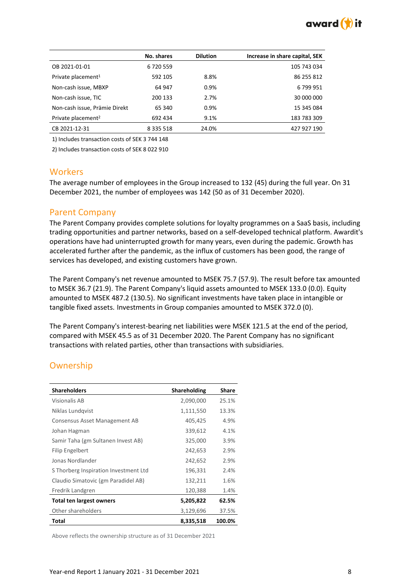

|                                | No. shares    | <b>Dilution</b> | Increase in share capital, SEK |
|--------------------------------|---------------|-----------------|--------------------------------|
| OB 2021-01-01                  | 6720559       |                 | 105 743 034                    |
| Private placement <sup>1</sup> | 592 105       | 8.8%            | 86 255 812                     |
| Non-cash issue, MBXP           | 64 947        | 0.9%            | 6799951                        |
| Non-cash issue, TIC            | 200 133       | 2.7%            | 30 000 000                     |
| Non-cash issue, Prämie Direkt  | 65 340        | 0.9%            | 15 345 084                     |
| Private placement <sup>2</sup> | 692 434       | 9.1%            | 183 783 309                    |
| CB 2021-12-31                  | 8 3 3 5 5 1 8 | 24.0%           | 427 927 190                    |

1) Includes transaction costs of SEK 3 744 148

2) Includes transaction costs of SEK 8 022 910

### **Workers**

The average number of employees in the Group increased to 132 (45) during the full year. On 31 December 2021, the number of employees was 142 (50 as of 31 December 2020).

### Parent Company

The Parent Company provides complete solutions for loyalty programmes on a SaaS basis, including trading opportunities and partner networks, based on a self-developed technical platform. Awardit's operations have had uninterrupted growth for many years, even during the pademic. Growth has accelerated further after the pandemic, as the influx of customers has been good, the range of services has developed, and existing customers have grown.

The Parent Company's net revenue amounted to MSEK 75.7 (57.9). The result before tax amounted to MSEK 36.7 (21.9). The Parent Company's liquid assets amounted to MSEK 133.0 (0.0). Equity amounted to MSEK 487.2 (130.5). No significant investments have taken place in intangible or tangible fixed assets. Investments in Group companies amounted to MSEK 372.0 (0).

The Parent Company's interest-bearing net liabilities were MSEK 121.5 at the end of the period, compared with MSEK 45.5 as of 31 December 2020. The Parent Company has no significant transactions with related parties, other than transactions with subsidiaries.

# Ownership

| <b>Shareholders</b>                   | Shareholding | Share  |
|---------------------------------------|--------------|--------|
| <b>Visionalis AB</b>                  | 2,090,000    | 25.1%  |
| Niklas Lundqvist                      | 1,111,550    | 13.3%  |
| Consensus Asset Management AB         | 405,425      | 4.9%   |
| Johan Hagman                          | 339,612      | 4.1%   |
| Samir Taha (gm Sultanen Invest AB)    | 325,000      | 3.9%   |
| Filip Engelbert                       | 242,653      | 2.9%   |
| Jonas Nordlander                      | 242,652      | 2.9%   |
| S Thorberg Inspiration Investment Ltd | 196,331      | 2.4%   |
| Claudio Simatovic (gm Paradidel AB)   | 132,211      | 1.6%   |
| Fredrik Landgren                      | 120,388      | 1.4%   |
| Total ten largest owners              | 5,205,822    | 62.5%  |
| Other shareholders                    | 3,129,696    | 37.5%  |
| Total                                 | 8,335,518    | 100.0% |

Above reflects the ownership structure as of 31 December 2021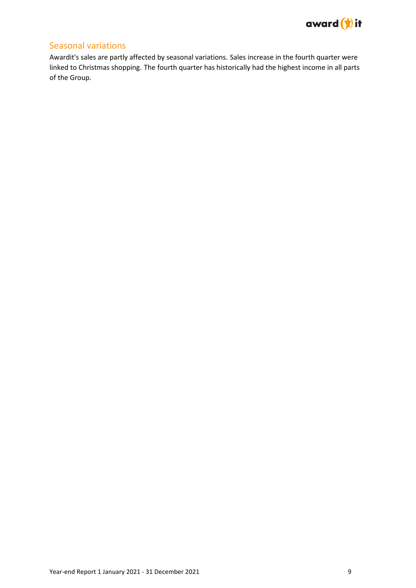

# Seasonal variations

Awardit's sales are partly affected by seasonal variations. Sales increase in the fourth quarter were linked to Christmas shopping. The fourth quarter has historically had the highest income in all parts of the Group.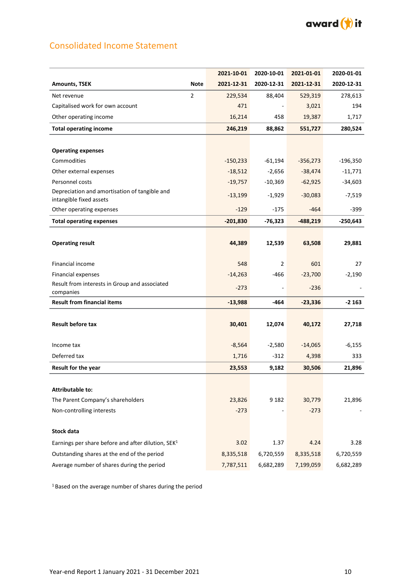

# Consolidated Income Statement

|                                                                |                | 2021-10-01       | 2020-10-01 | 2021-01-01 | 2020-01-01 |
|----------------------------------------------------------------|----------------|------------------|------------|------------|------------|
| <b>Amounts, TSEK</b>                                           | <b>Note</b>    | 2021-12-31       | 2020-12-31 | 2021-12-31 | 2020-12-31 |
| Net revenue                                                    | $\overline{2}$ | 229,534          | 88,404     | 529,319    | 278,613    |
| Capitalised work for own account                               |                | 471              |            | 3,021      | 194        |
| Other operating income                                         |                | 16,214           | 458        | 19,387     | 1,717      |
| <b>Total operating income</b>                                  |                | 246,219          | 88,862     | 551,727    | 280,524    |
|                                                                |                |                  |            |            |            |
| <b>Operating expenses</b>                                      |                |                  |            |            |            |
| Commodities                                                    |                | $-150,233$       | $-61,194$  | $-356,273$ | $-196,350$ |
| Other external expenses                                        |                | $-18,512$        | $-2,656$   | $-38,474$  | $-11,771$  |
| Personnel costs                                                |                | $-19,757$        | $-10,369$  | $-62,925$  | $-34,603$  |
| Depreciation and amortisation of tangible and                  |                | $-13,199$        | $-1,929$   | $-30,083$  | $-7,519$   |
| intangible fixed assets<br>Other operating expenses            |                | $-129$           | $-175$     | $-464$     | $-399$     |
| <b>Total operating expenses</b>                                |                | $-201,830$       | $-76,323$  | $-488,219$ | $-250,643$ |
|                                                                |                |                  |            |            |            |
| <b>Operating result</b>                                        |                | 44,389           | 12,539     | 63,508     | 29,881     |
|                                                                |                |                  |            |            |            |
| Financial income                                               |                | 548              | 2          | 601        | 27         |
| Financial expenses                                             |                | $-14,263$        | -466       | $-23,700$  | $-2,190$   |
| Result from interests in Group and associated                  |                | $-273$           |            | $-236$     |            |
| companies                                                      |                |                  |            |            |            |
| <b>Result from financial items</b>                             |                | $-13,988$        | -464       | $-23,336$  | $-2163$    |
|                                                                |                |                  |            |            |            |
| <b>Result before tax</b>                                       |                | 30,401           | 12,074     | 40,172     | 27,718     |
|                                                                |                |                  |            |            |            |
| Income tax<br>Deferred tax                                     |                | $-8,564$         | $-2,580$   | $-14,065$  | $-6,155$   |
|                                                                |                | 1,716            | $-312$     | 4,398      | 333        |
| Result for the year                                            |                | 23,553           | 9,182      | 30,506     | 21,896     |
| Attributable to:                                               |                |                  |            |            |            |
| The Parent Company's shareholders                              |                |                  | 9 1 8 2    | 30,779     | 21,896     |
| Non-controlling interests                                      |                | 23,826<br>$-273$ |            | $-273$     |            |
|                                                                |                |                  |            |            |            |
| Stock data                                                     |                |                  |            |            |            |
| Earnings per share before and after dilution, SEK <sup>1</sup> |                | 3.02             | 1.37       | 4.24       | 3.28       |
| Outstanding shares at the end of the period                    |                | 8,335,518        | 6,720,559  | 8,335,518  | 6,720,559  |
| Average number of shares during the period                     |                | 7,787,511        | 6,682,289  | 7,199,059  | 6,682,289  |
|                                                                |                |                  |            |            |            |

1 Based on the average number of shares during the period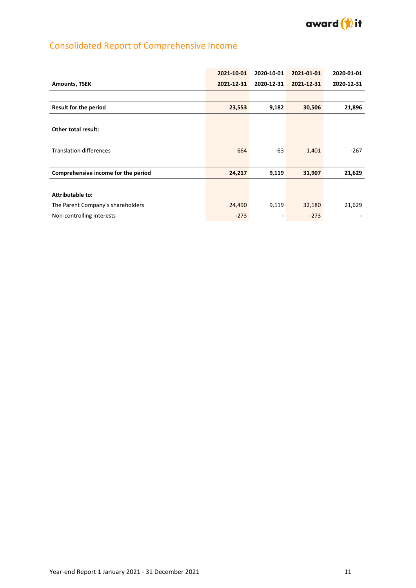

# Consolidated Report of Comprehensive Income

|                                     | 2021-10-01 | 2020-10-01 | 2021-01-01 | 2020-01-01 |
|-------------------------------------|------------|------------|------------|------------|
| <b>Amounts, TSEK</b>                | 2021-12-31 | 2020-12-31 | 2021-12-31 | 2020-12-31 |
|                                     |            |            |            |            |
| <b>Result for the period</b>        | 23,553     | 9,182      | 30,506     | 21,896     |
|                                     |            |            |            |            |
| <b>Other total result:</b>          |            |            |            |            |
|                                     |            |            |            |            |
| <b>Translation differences</b>      | 664        | $-63$      | 1,401      | $-267$     |
|                                     |            |            |            |            |
| Comprehensive income for the period | 24,217     | 9,119      | 31,907     | 21,629     |
|                                     |            |            |            |            |
| <b>Attributable to:</b>             |            |            |            |            |
| The Parent Company's shareholders   | 24,490     | 9,119      | 32,180     | 21,629     |
| Non-controlling interests           | $-273$     | ۰          | $-273$     |            |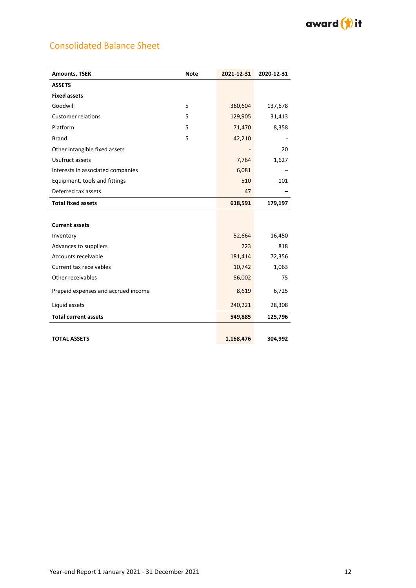

# Consolidated Balance Sheet

| <b>Amounts, TSEK</b>                | <b>Note</b> | 2021-12-31 | 2020-12-31 |
|-------------------------------------|-------------|------------|------------|
| <b>ASSETS</b>                       |             |            |            |
| <b>Fixed assets</b>                 |             |            |            |
| Goodwill                            | 5           | 360,604    | 137,678    |
| <b>Customer relations</b>           | 5           | 129,905    | 31,413     |
| Platform                            | 5           | 71,470     | 8,358      |
| <b>Brand</b>                        | 5           | 42,210     |            |
| Other intangible fixed assets       |             |            | 20         |
| Usufruct assets                     |             | 7,764      | 1,627      |
| Interests in associated companies   |             | 6,081      |            |
| Equipment, tools and fittings       |             | 510        | 101        |
| Deferred tax assets                 |             | 47         |            |
| <b>Total fixed assets</b>           |             | 618,591    | 179,197    |
|                                     |             |            |            |
| <b>Current assets</b>               |             |            |            |
| Inventory                           |             | 52,664     | 16,450     |
| Advances to suppliers               |             | 223        | 818        |
| Accounts receivable                 |             | 181,414    | 72,356     |
| Current tax receivables             |             | 10,742     | 1,063      |
| Other receivables                   |             | 56,002     | 75         |
| Prepaid expenses and accrued income |             | 8,619      | 6,725      |
| Liquid assets                       |             | 240,221    | 28,308     |
| <b>Total current assets</b>         |             | 549,885    | 125,796    |
|                                     |             |            |            |
| <b>TOTAL ASSETS</b>                 |             | 1,168,476  | 304,992    |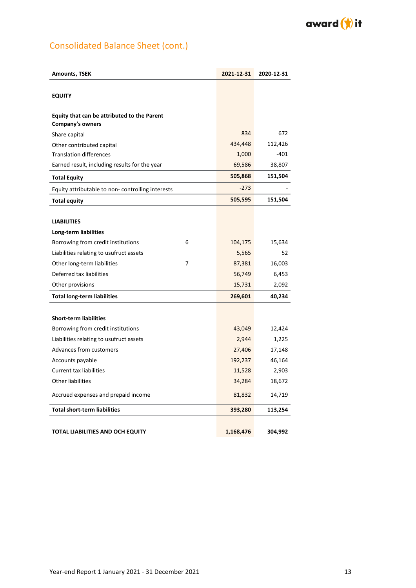

# Consolidated Balance Sheet (cont.)

| <b>Amounts, TSEK</b>                                                   | 2021-12-31 | 2020-12-31 |
|------------------------------------------------------------------------|------------|------------|
|                                                                        |            |            |
| <b>EQUITY</b>                                                          |            |            |
| Equity that can be attributed to the Parent<br><b>Company's owners</b> |            |            |
| Share capital                                                          | 834        | 672        |
| Other contributed capital                                              | 434,448    | 112,426    |
| <b>Translation differences</b>                                         | 1,000      | $-401$     |
| Earned result, including results for the year                          | 69,586     | 38,807     |
| <b>Total Equity</b>                                                    | 505,868    | 151,504    |
| Equity attributable to non- controlling interests                      | $-273$     |            |
| <b>Total equity</b>                                                    | 505,595    | 151,504    |
|                                                                        |            |            |
| <b>LIABILITIES</b>                                                     |            |            |
| Long-term liabilities                                                  |            |            |
| Borrowing from credit institutions<br>6                                | 104,175    | 15,634     |
| Liabilities relating to usufruct assets                                | 5,565      | 52         |
| Other long-term liabilities<br>7                                       | 87,381     | 16,003     |
| Deferred tax liabilities                                               | 56,749     | 6,453      |
| Other provisions                                                       | 15,731     | 2,092      |
| <b>Total long-term liabilities</b>                                     | 269,601    | 40,234     |
|                                                                        |            |            |
| <b>Short-term liabilities</b>                                          |            |            |
| Borrowing from credit institutions                                     | 43,049     | 12,424     |
| Liabilities relating to usufruct assets                                | 2,944      | 1,225      |
| Advances from customers                                                | 27,406     | 17,148     |
| Accounts payable                                                       | 192,237    | 46,164     |
| <b>Current tax liabilities</b>                                         | 11,528     | 2,903      |
| Other liabilities                                                      | 34,284     | 18,672     |
| Accrued expenses and prepaid income                                    | 81,832     | 14,719     |
| <b>Total short-term liabilities</b>                                    | 393,280    | 113,254    |
| TOTAL LIABILITIES AND OCH EQUITY                                       | 1,168,476  | 304,992    |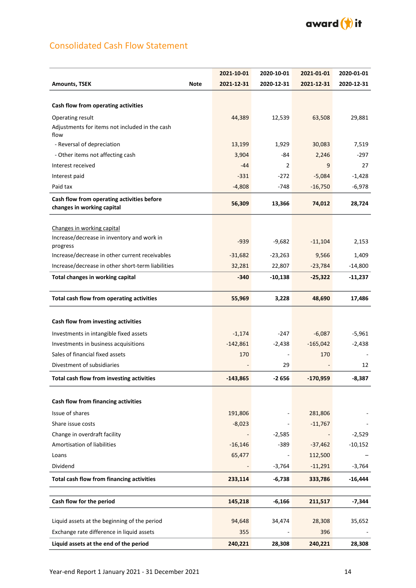

# Consolidated Cash Flow Statement

|                                                                          | 2021-10-01 | 2020-10-01 | 2021-01-01 | 2020-01-01 |
|--------------------------------------------------------------------------|------------|------------|------------|------------|
| <b>Note</b><br><b>Amounts, TSEK</b>                                      | 2021-12-31 | 2020-12-31 | 2021-12-31 | 2020-12-31 |
|                                                                          |            |            |            |            |
| Cash flow from operating activities                                      |            |            |            |            |
| Operating result                                                         | 44,389     | 12,539     | 63,508     | 29,881     |
| Adjustments for items not included in the cash<br>flow                   |            |            |            |            |
| - Reversal of depreciation                                               | 13,199     | 1,929      | 30,083     | 7,519      |
| - Other items not affecting cash                                         | 3,904      | -84        | 2,246      | $-297$     |
| Interest received                                                        | $-44$      | 2          | 9          | 27         |
| Interest paid                                                            | $-331$     | $-272$     | $-5,084$   | $-1,428$   |
| Paid tax                                                                 | $-4,808$   | -748       | $-16,750$  | $-6,978$   |
| Cash flow from operating activities before<br>changes in working capital | 56,309     | 13,366     | 74,012     | 28,724     |
| Changes in working capital                                               |            |            |            |            |
| Increase/decrease in inventory and work in<br>progress                   | $-939$     | $-9,682$   | $-11,104$  | 2,153      |
| Increase/decrease in other current receivables                           | $-31,682$  | $-23,263$  | 9,566      | 1,409      |
| Increase/decrease in other short-term liabilities                        | 32,281     | 22,807     | $-23,784$  | $-14,800$  |
| Total changes in working capital                                         | $-340$     | $-10,138$  | $-25,322$  | $-11,237$  |
|                                                                          |            |            |            |            |
| Total cash flow from operating activities                                | 55,969     | 3,228      | 48,690     | 17,486     |
| Cash flow from investing activities                                      |            |            |            |            |
| Investments in intangible fixed assets                                   | $-1,174$   | $-247$     | $-6,087$   | $-5,961$   |
| Investments in business acquisitions                                     | $-142,861$ | $-2,438$   | $-165,042$ | $-2,438$   |
| Sales of financial fixed assets                                          | 170        |            | 170        |            |
| Divestment of subsidiaries                                               |            | 29         |            | 12         |
| Total cash flow from investing activities                                | $-143.865$ | $-2656$    | $-170,959$ | -8,387     |
| Cash flow from financing activities                                      |            |            |            |            |
| Issue of shares                                                          | 191,806    |            | 281,806    |            |
| Share issue costs                                                        | $-8,023$   |            | $-11,767$  |            |
| Change in overdraft facility                                             |            | $-2,585$   |            | $-2,529$   |
| Amortisation of liabilities                                              | $-16,146$  | $-389$     | $-37,462$  | $-10,152$  |
| Loans                                                                    | 65,477     |            | 112,500    |            |
| Dividend                                                                 |            | $-3,764$   | $-11,291$  | $-3,764$   |
| Total cash flow from financing activities                                | 233,114    | $-6,738$   | 333,786    | $-16,444$  |
|                                                                          |            |            |            |            |
|                                                                          |            |            |            |            |
| Cash flow for the period                                                 | 145,218    | $-6,166$   | 211,517    | $-7,344$   |
| Liquid assets at the beginning of the period                             | 94,648     | 34,474     | 28,308     | 35,652     |
| Exchange rate difference in liquid assets                                | 355        |            | 396        |            |
| Liquid assets at the end of the period                                   | 240,221    | 28,308     | 240,221    | 28,308     |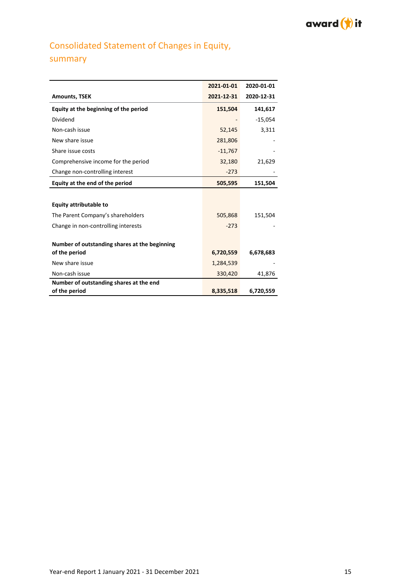

# Consolidated Statement of Changes in Equity, summary

|                                               | 2021-01-01 | 2020-01-01 |
|-----------------------------------------------|------------|------------|
| <b>Amounts, TSEK</b>                          | 2021-12-31 | 2020-12-31 |
| Equity at the beginning of the period         | 151,504    | 141,617    |
| Dividend                                      |            | $-15,054$  |
| Non-cash issue                                | 52,145     | 3,311      |
| New share issue                               | 281,806    |            |
| Share issue costs                             | $-11,767$  |            |
| Comprehensive income for the period           | 32,180     | 21,629     |
| Change non-controlling interest               | $-273$     |            |
| Equity at the end of the period               | 505,595    | 151,504    |
|                                               |            |            |
| Equity attributable to                        |            |            |
| The Parent Company's shareholders             | 505,868    | 151,504    |
| Change in non-controlling interests           | $-273$     |            |
|                                               |            |            |
| Number of outstanding shares at the beginning |            |            |
| of the period                                 | 6,720,559  | 6,678,683  |
| New share issue                               | 1,284,539  |            |
| Non-cash issue                                | 330,420    | 41,876     |
| Number of outstanding shares at the end       |            |            |
| of the period                                 | 8,335,518  | 6,720,559  |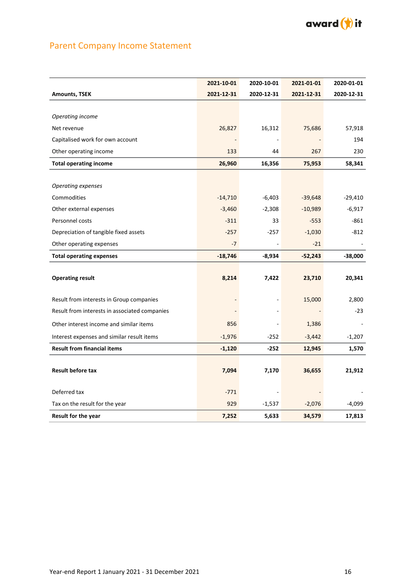

# Parent Company Income Statement

|                                               | 2021-10-01 | 2020-10-01 | 2021-01-01 | 2020-01-01 |
|-----------------------------------------------|------------|------------|------------|------------|
| <b>Amounts, TSEK</b>                          | 2021-12-31 | 2020-12-31 | 2021-12-31 | 2020-12-31 |
|                                               |            |            |            |            |
| Operating income                              |            |            |            |            |
| Net revenue                                   | 26,827     | 16,312     | 75,686     | 57,918     |
| Capitalised work for own account              |            |            |            | 194        |
| Other operating income                        | 133        | 44         | 267        | 230        |
| <b>Total operating income</b>                 | 26,960     | 16,356     | 75,953     | 58,341     |
|                                               |            |            |            |            |
| Operating expenses                            |            |            |            |            |
| Commodities                                   | $-14,710$  | $-6,403$   | $-39,648$  | $-29,410$  |
| Other external expenses                       | $-3,460$   | $-2,308$   | $-10,989$  | $-6,917$   |
| Personnel costs                               | $-311$     | 33         | $-553$     | $-861$     |
| Depreciation of tangible fixed assets         | $-257$     | $-257$     | $-1,030$   | -812       |
| Other operating expenses                      | $-7$       |            | $-21$      |            |
| <b>Total operating expenses</b>               | $-18,746$  | $-8,934$   | $-52,243$  | $-38,000$  |
|                                               |            |            |            |            |
| <b>Operating result</b>                       | 8,214      | 7,422      | 23,710     | 20,341     |
|                                               |            |            |            |            |
| Result from interests in Group companies      |            |            | 15,000     | 2,800      |
| Result from interests in associated companies |            |            |            | $-23$      |
| Other interest income and similar items       | 856        |            | 1,386      |            |
| Interest expenses and similar result items    | $-1,976$   | $-252$     | $-3,442$   | $-1,207$   |
| <b>Result from financial items</b>            | $-1,120$   | $-252$     | 12,945     | 1,570      |
|                                               |            |            |            |            |
| <b>Result before tax</b>                      | 7,094      | 7,170      | 36,655     | 21,912     |
|                                               |            |            |            |            |
| Deferred tax                                  | $-771$     |            |            |            |
| Tax on the result for the year                | 929        | $-1,537$   | $-2,076$   | -4,099     |
| <b>Result for the year</b>                    | 7,252      | 5,633      | 34,579     | 17,813     |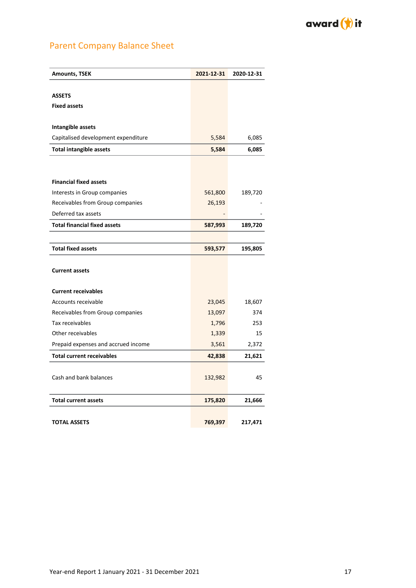

# Parent Company Balance Sheet

| <b>Amounts, TSEK</b>                | 2021-12-31 | 2020-12-31 |
|-------------------------------------|------------|------------|
|                                     |            |            |
| <b>ASSETS</b>                       |            |            |
| <b>Fixed assets</b>                 |            |            |
|                                     |            |            |
| Intangible assets                   |            |            |
| Capitalised development expenditure | 5,584      | 6,085      |
| <b>Total intangible assets</b>      | 5,584      | 6,085      |
|                                     |            |            |
| <b>Financial fixed assets</b>       |            |            |
| Interests in Group companies        | 561,800    | 189,720    |
| Receivables from Group companies    | 26,193     |            |
| Deferred tax assets                 |            |            |
|                                     |            |            |
| <b>Total financial fixed assets</b> | 587,993    | 189,720    |
|                                     |            |            |
| <b>Total fixed assets</b>           | 593,577    | 195,805    |
|                                     |            |            |
| <b>Current assets</b>               |            |            |
| <b>Current receivables</b>          |            |            |
| Accounts receivable                 | 23,045     | 18,607     |
| Receivables from Group companies    | 13,097     | 374        |
| Tax receivables                     | 1,796      | 253        |
| Other receivables                   | 1,339      | 15         |
| Prepaid expenses and accrued income | 3,561      | 2,372      |
| <b>Total current receivables</b>    | 42,838     | 21,621     |
|                                     |            |            |
| Cash and bank balances              | 132,982    | 45         |
|                                     |            |            |
| <b>Total current assets</b>         | 175,820    | 21,666     |
|                                     |            |            |
| <b>TOTAL ASSETS</b>                 | 769,397    | 217,471    |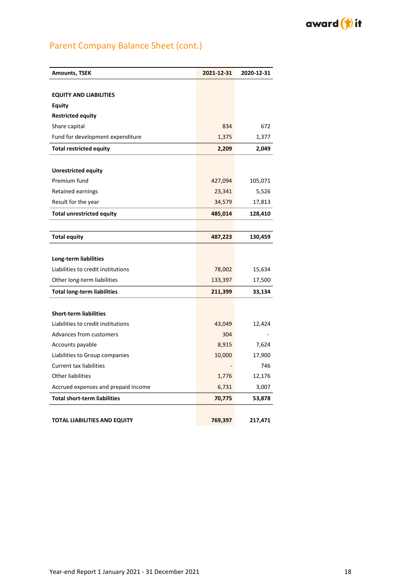

# Parent Company Balance Sheet (cont.)

| Amounts, TSEK                       | 2021-12-31 | 2020-12-31 |
|-------------------------------------|------------|------------|
|                                     |            |            |
| <b>EQUITY AND LIABILITIES</b>       |            |            |
| <b>Equity</b>                       |            |            |
| <b>Restricted equity</b>            |            |            |
| Share capital                       | 834        | 672        |
| Fund for development expenditure    | 1,375      | 1,377      |
| <b>Total restricted equity</b>      | 2,209      | 2,049      |
| <b>Unrestricted equity</b>          |            |            |
| Premium fund                        | 427,094    | 105,071    |
| Retained earnings                   | 23,341     | 5,526      |
| Result for the year                 | 34,579     | 17,813     |
| <b>Total unrestricted equity</b>    | 485,014    | 128,410    |
|                                     |            |            |
| <b>Total equity</b>                 | 487,223    | 130,459    |
| Long-term liabilities               |            |            |
| Liabilities to credit institutions  | 78,002     | 15,634     |
| Other long-term liabilities         | 133,397    | 17,500     |
| <b>Total long-term liabilities</b>  | 211,399    | 33,134     |
|                                     |            |            |
| <b>Short-term liabilities</b>       |            |            |
| Liabilities to credit institutions  | 43,049     | 12,424     |
| Advances from customers             | 304        |            |
| Accounts payable                    | 8,915      | 7,624      |
| Liabilities to Group companies      | 10,000     | 17,900     |
| <b>Current tax liabilities</b>      |            | 746        |
| <b>Other liabilities</b>            | 1,776      | 12,176     |
| Accrued expenses and prepaid income | 6,731      | 3,007      |
| <b>Total short-term liabilities</b> | 70,775     | 53,878     |
| TOTAL LIABILITIES AND EQUITY        | 769,397    | 217,471    |
|                                     |            |            |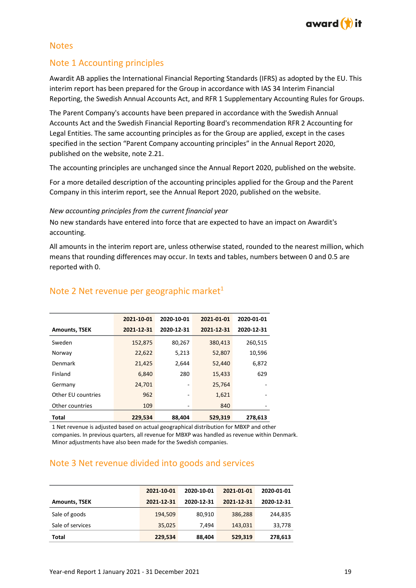

### **Notes**

## Note 1 Accounting principles

Awardit AB applies the International Financial Reporting Standards (IFRS) as adopted by the EU. This interim report has been prepared for the Group in accordance with IAS 34 Interim Financial Reporting, the Swedish Annual Accounts Act, and RFR 1 Supplementary Accounting Rules for Groups.

The Parent Company's accounts have been prepared in accordance with the Swedish Annual Accounts Act and the Swedish Financial Reporting Board's recommendation RFR 2 Accounting for Legal Entities. The same accounting principles as for the Group are applied, except in the cases specified in the section "Parent Company accounting principles" in the Annual Report 2020, published on the website, note 2.21.

The accounting principles are unchanged since the Annual Report 2020, published on the website.

For a more detailed description of the accounting principles applied for the Group and the Parent Company in this interim report, see the Annual Report 2020, published on the website.

*New accounting principles from the current financial year* 

No new standards have entered into force that are expected to have an impact on Awardit's accounting.

All amounts in the interim report are, unless otherwise stated, rounded to the nearest million, which means that rounding differences may occur. In texts and tables, numbers between 0 and 0.5 are reported with 0.

|                      | 2021-10-01 | 2020-10-01 | 2021-01-01 | 2020-01-01 |
|----------------------|------------|------------|------------|------------|
| <b>Amounts, TSEK</b> | 2021-12-31 | 2020-12-31 | 2021-12-31 | 2020-12-31 |
| Sweden               | 152,875    | 80,267     | 380,413    | 260,515    |
| Norway               | 22,622     | 5,213      | 52,807     | 10,596     |
| Denmark              | 21,425     | 2,644      | 52,440     | 6,872      |
| Finland              | 6,840      | 280        | 15,433     | 629        |
| Germany              | 24,701     |            | 25,764     |            |
| Other EU countries   | 962        |            | 1,621      |            |
| Other countries      | 109        |            | 840        |            |
| Total                | 229,534    | 88,404     | 529,319    | 278,613    |

## Note 2 Net revenue per geographic market $1$

1 Net revenue is adjusted based on actual geographical distribution for MBXP and other companies. In previous quarters, all revenue for MBXP was handled as revenue within Denmark. Minor adjustments have also been made for the Swedish companies.

## Note 3 Net revenue divided into goods and services

|                      | 2021-10-01 | 2020-10-01 | 2021-01-01 | 2020-01-01 |
|----------------------|------------|------------|------------|------------|
| <b>Amounts, TSEK</b> | 2021-12-31 | 2020-12-31 | 2021-12-31 | 2020-12-31 |
| Sale of goods        | 194,509    | 80,910     | 386,288    | 244,835    |
| Sale of services     | 35,025     | 7.494      | 143,031    | 33,778     |
| <b>Total</b>         | 229,534    | 88,404     | 529,319    | 278,613    |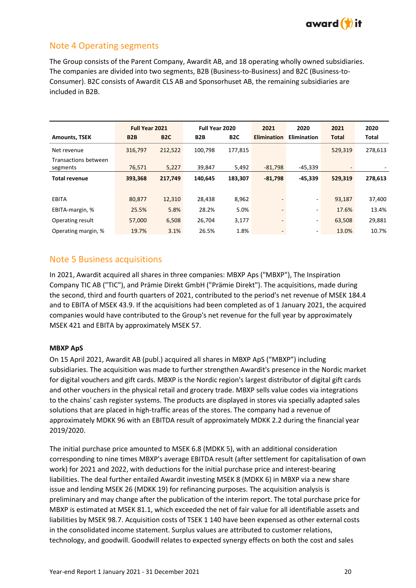

# Note 4 Operating segments

The Group consists of the Parent Company, Awardit AB, and 18 operating wholly owned subsidiaries. The companies are divided into two segments, B2B (Business-to-Business) and B2C (Business-to-Consumer). B2C consists of Awardit CLS AB and Sponsorhuset AB, the remaining subsidiaries are included in B2B.

|                      | Full Year 2021   |                  | Full Year 2020   |                  | 2021               | 2020                     | 2021         | 2020    |
|----------------------|------------------|------------------|------------------|------------------|--------------------|--------------------------|--------------|---------|
| <b>Amounts, TSEK</b> | B <sub>2</sub> B | B <sub>2</sub> C | B <sub>2</sub> B | B <sub>2</sub> C | <b>Elimination</b> | Elimination              | <b>Total</b> | Total   |
| Net revenue          | 316,797          | 212,522          | 100,798          | 177,815          |                    |                          | 529,319      | 278,613 |
| Transactions between |                  |                  |                  |                  |                    |                          |              |         |
| segments             | 76,571           | 5,227            | 39,847           | 5,492            | $-81,798$          | $-45,339$                |              |         |
| <b>Total revenue</b> | 393,368          | 217,749          | 140,645          | 183,307          | $-81,798$          | -45,339                  | 529,319      | 278,613 |
|                      |                  |                  |                  |                  |                    |                          |              |         |
| <b>EBITA</b>         | 80,877           | 12,310           | 28,438           | 8,962            |                    |                          | 93,187       | 37,400  |
| EBITA-margin, %      | 25.5%            | 5.8%             | 28.2%            | 5.0%             |                    | ٠                        | 17.6%        | 13.4%   |
| Operating result     | 57,000           | 6,508            | 26,704           | 3,177            |                    | $\overline{\phantom{m}}$ | 63,508       | 29,881  |
| Operating margin, %  | 19.7%            | 3.1%             | 26.5%            | 1.8%             |                    |                          | 13.0%        | 10.7%   |

# Note 5 Business acquisitions

In 2021, Awardit acquired all shares in three companies: MBXP Aps ("MBXP"), The Inspiration Company TIC AB ("TIC"), and Prämie Direkt GmbH ("Prämie Direkt"). The acquisitions, made during the second, third and fourth quarters of 2021, contributed to the period's net revenue of MSEK 184.4 and to EBITA of MSEK 43.9. If the acquisitions had been completed as of 1 January 2021, the acquired companies would have contributed to the Group's net revenue for the full year by approximately MSEK 421 and EBITA by approximately MSEK 57.

### **MBXP ApS**

On 15 April 2021, Awardit AB (publ.) acquired all shares in MBXP ApS ("MBXP") including subsidiaries. The acquisition was made to further strengthen Awardit's presence in the Nordic market for digital vouchers and gift cards. MBXP is the Nordic region's largest distributor of digital gift cards and other vouchers in the physical retail and grocery trade. MBXP sells value codes via integrations to the chains' cash register systems. The products are displayed in stores via specially adapted sales solutions that are placed in high-traffic areas of the stores. The company had a revenue of approximately MDKK 96 with an EBITDA result of approximately MDKK 2.2 during the financial year 2019/2020.

The initial purchase price amounted to MSEK 6.8 (MDKK 5), with an additional consideration corresponding to nine times MBXP's average EBITDA result (after settlement for capitalisation of own work) for 2021 and 2022, with deductions for the initial purchase price and interest-bearing liabilities. The deal further entailed Awardit investing MSEK 8 (MDKK 6) in MBXP via a new share issue and lending MSEK 26 (MDKK 19) for refinancing purposes. The acquisition analysis is preliminary and may change after the publication of the interim report. The total purchase price for MBXP is estimated at MSEK 81.1, which exceeded the net of fair value for all identifiable assets and liabilities by MSEK 98.7. Acquisition costs of TSEK 1 140 have been expensed as other external costs in the consolidated income statement. Surplus values are attributed to customer relations, technology, and goodwill. Goodwill relates to expected synergy effects on both the cost and sales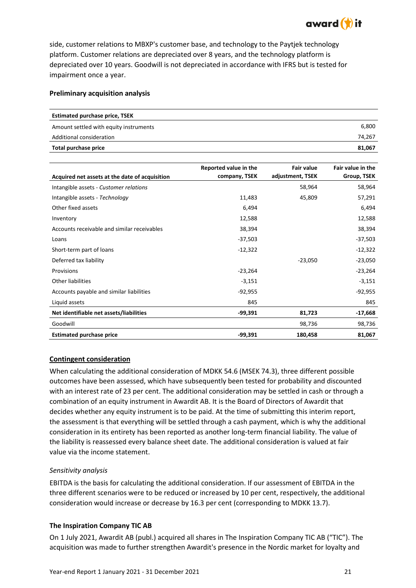

side, customer relations to MBXP's customer base, and technology to the Paytjek technology platform. Customer relations are depreciated over 8 years, and the technology platform is depreciated over 10 years. Goodwill is not depreciated in accordance with IFRS but is tested for impairment once a year.

#### **Preliminary acquisition analysis**

| <b>Estimated purchase price, TSEK</b>  |        |
|----------------------------------------|--------|
| Amount settled with equity instruments | 6,800  |
| Additional consideration               | 74,267 |
| Total purchase price                   | 81,067 |

|                                                | Reported value in the | <b>Fair value</b> | Fair value in the |
|------------------------------------------------|-----------------------|-------------------|-------------------|
| Acquired net assets at the date of acquisition | company, TSEK         | adjustment, TSEK  | Group, TSEK       |
| Intangible assets - Customer relations         |                       | 58,964            | 58,964            |
| Intangible assets - Technology                 | 11,483                | 45,809            | 57,291            |
| Other fixed assets                             | 6,494                 |                   | 6,494             |
| Inventory                                      | 12,588                |                   | 12,588            |
| Accounts receivable and similar receivables    | 38,394                |                   | 38,394            |
| Loans                                          | $-37,503$             |                   | $-37,503$         |
| Short-term part of loans                       | $-12,322$             |                   | $-12,322$         |
| Deferred tax liability                         |                       | $-23,050$         | $-23,050$         |
| <b>Provisions</b>                              | $-23,264$             |                   | $-23,264$         |
| <b>Other liabilities</b>                       | $-3,151$              |                   | $-3,151$          |
| Accounts payable and similar liabilities       | $-92,955$             |                   | $-92,955$         |
| Liquid assets                                  | 845                   |                   | 845               |
| Net identifiable net assets/liabilities        | $-99,391$             | 81,723            | -17,668           |
| Goodwill                                       |                       | 98,736            | 98,736            |
| <b>Estimated purchase price</b>                | $-99,391$             | 180,458           | 81,067            |

### **Contingent consideration**

When calculating the additional consideration of MDKK 54.6 (MSEK 74.3), three different possible outcomes have been assessed, which have subsequently been tested for probability and discounted with an interest rate of 23 per cent. The additional consideration may be settled in cash or through a combination of an equity instrument in Awardit AB. It is the Board of Directors of Awardit that decides whether any equity instrument is to be paid. At the time of submitting this interim report, the assessment is that everything will be settled through a cash payment, which is why the additional consideration in its entirety has been reported as another long-term financial liability. The value of the liability is reassessed every balance sheet date. The additional consideration is valued at fair value via the income statement.

### *Sensitivity analysis*

EBITDA is the basis for calculating the additional consideration. If our assessment of EBITDA in the three different scenarios were to be reduced or increased by 10 per cent, respectively, the additional consideration would increase or decrease by 16.3 per cent (corresponding to MDKK 13.7).

### **The Inspiration Company TIC AB**

On 1 July 2021, Awardit AB (publ.) acquired all shares in The Inspiration Company TIC AB ("TIC"). The acquisition was made to further strengthen Awardit's presence in the Nordic market for loyalty and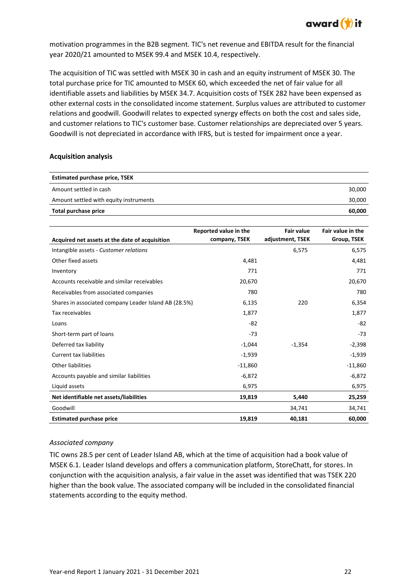

motivation programmes in the B2B segment. TIC's net revenue and EBITDA result for the financial year 2020/21 amounted to MSEK 99.4 and MSEK 10.4, respectively.

The acquisition of TIC was settled with MSEK 30 in cash and an equity instrument of MSEK 30. The total purchase price for TIC amounted to MSEK 60, which exceeded the net of fair value for all identifiable assets and liabilities by MSEK 34.7. Acquisition costs of TSEK 282 have been expensed as other external costs in the consolidated income statement. Surplus values are attributed to customer relations and goodwill. Goodwill relates to expected synergy effects on both the cost and sales side, and customer relations to TIC's customer base. Customer relationships are depreciated over 5 years. Goodwill is not depreciated in accordance with IFRS, but is tested for impairment once a year.

#### **Acquisition analysis**

| 30,000 |
|--------|
| 30,000 |
| 60,000 |
|        |

|                                                       | Reported value in the | <b>Fair value</b> | Fair value in the |
|-------------------------------------------------------|-----------------------|-------------------|-------------------|
| Acquired net assets at the date of acquisition        | company, TSEK         | adjustment, TSEK  | Group, TSEK       |
| Intangible assets - Customer relations                |                       | 6,575             | 6,575             |
| Other fixed assets                                    | 4,481                 |                   | 4,481             |
| Inventory                                             | 771                   |                   | 771               |
| Accounts receivable and similar receivables           | 20,670                |                   | 20,670            |
| Receivables from associated companies                 | 780                   |                   | 780               |
| Shares in associated company Leader Island AB (28.5%) | 6,135                 | 220               | 6,354             |
| Tax receivables                                       | 1,877                 |                   | 1,877             |
| Loans                                                 | $-82$                 |                   | -82               |
| Short-term part of loans                              | $-73$                 |                   | $-73$             |
| Deferred tax liability                                | $-1,044$              | $-1,354$          | $-2,398$          |
| <b>Current tax liabilities</b>                        | $-1,939$              |                   | $-1,939$          |
| <b>Other liabilities</b>                              | $-11,860$             |                   | $-11,860$         |
| Accounts payable and similar liabilities              | $-6,872$              |                   | $-6,872$          |
| Liquid assets                                         | 6,975                 |                   | 6,975             |
| Net identifiable net assets/liabilities               | 19,819                | 5,440             | 25,259            |
| Goodwill                                              |                       | 34,741            | 34,741            |
| <b>Estimated purchase price</b>                       | 19,819                | 40,181            | 60,000            |

### *Associated company*

TIC owns 28.5 per cent of Leader Island AB, which at the time of acquisition had a book value of MSEK 6.1. Leader Island develops and offers a communication platform, StoreChatt, for stores. In conjunction with the acquisition analysis, a fair value in the asset was identified that was TSEK 220 higher than the book value. The associated company will be included in the consolidated financial statements according to the equity method.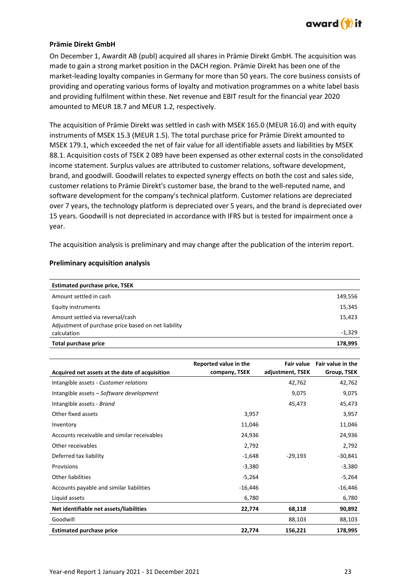

### **Prämie Direkt GmbH**

On December 1, Awardit AB (publ) acquired all shares in Prämie Direkt GmbH. The acquisition was made to gain a strong market position in the DACH region. Prämie Direkt has been one of the market-leading loyalty companies in Germany for more than 50 years. The core business consists of providing and operating various forms of loyalty and motivation programmes on a white label basis and providing fulfilment within these. Net revenue and EBIT result for the financial year 2020 amounted to MEUR 18.7 and MEUR 1.2, respectively.

The acquisition of Prämie Direkt was settled in cash with MSEK 165.0 (MEUR 16.0) and with equity instruments of MSEK 15.3 (MEUR 1.5). The total purchase price for Prämie Direkt amounted to MSEK 179.1, which exceeded the net of fair value for all identifiable assets and liabilities by MSEK 88.1. Acquisition costs of TSEK 2 089 have been expensed as other external costs in the consolidated income statement. Surplus values are attributed to customer relations, software development, brand, and goodwill. Goodwill relates to expected synergy effects on both the cost and sales side, customer relations to Prämie Direkt's customer base, the brand to the well-reputed name, and software development for the company's technical platform. Customer relations are depreciated over 7 years, the technology platform is depreciated over 5 years, and the brand is depreciated over 15 years. Goodwill is not depreciated in accordance with IFRS but is tested for impairment once a year.

The acquisition analysis is preliminary and may change after the publication of the interim report.

| <b>Estimated purchase price, TSEK</b>               |          |
|-----------------------------------------------------|----------|
| Amount settled in cash                              | 149,556  |
| <b>Equity instruments</b>                           | 15,345   |
| Amount settled via reversal/cash                    | 15,423   |
| Adjustment of purchase price based on net liability |          |
| calculation                                         | $-1,329$ |
| Total purchase price                                | 178,995  |

#### **Preliminary acquisition analysis**

|                                                | Reported value in the | Fair value       | Fair value in the |
|------------------------------------------------|-----------------------|------------------|-------------------|
| Acquired net assets at the date of acquisition | company, TSEK         | adjustment, TSEK | Group, TSEK       |
| Intangible assets - Customer relations         |                       | 42,762           | 42,762            |
| Intangible assets - Software development       |                       | 9,075            | 9,075             |
| Intangible assets - Brand                      |                       | 45,473           | 45,473            |
| Other fixed assets                             | 3,957                 |                  | 3,957             |
| Inventory                                      | 11,046                |                  | 11,046            |
| Accounts receivable and similar receivables    | 24,936                |                  | 24,936            |
| Other receivables                              | 2,792                 |                  | 2,792             |
| Deferred tax liability                         | $-1,648$              | $-29,193$        | $-30,841$         |
| Provisions                                     | $-3,380$              |                  | $-3,380$          |
| <b>Other liabilities</b>                       | $-5,264$              |                  | $-5,264$          |
| Accounts payable and similar liabilities       | $-16,446$             |                  | $-16,446$         |
| Liquid assets                                  | 6,780                 |                  | 6,780             |
| Net identifiable net assets/liabilities        | 22,774                | 68,118           | 90,892            |
| Goodwill                                       |                       | 88,103           | 88,103            |
| <b>Estimated purchase price</b>                | 22,774                | 156,221          | 178,995           |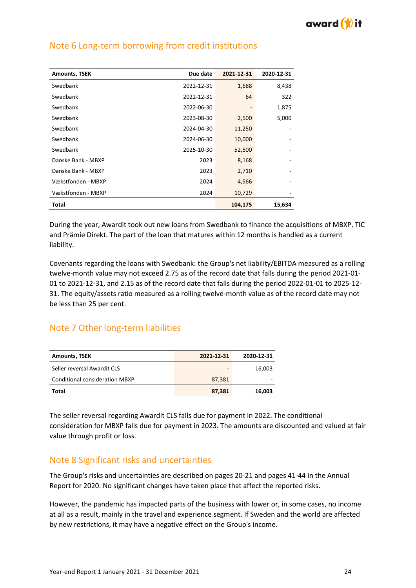

| <b>Amounts, TSEK</b> | Due date   | 2021-12-31 | 2020-12-31 |
|----------------------|------------|------------|------------|
| Swedbank             | 2022-12-31 | 1,688      | 8,438      |
| Swedbank             | 2022-12-31 | 64         | 322        |
| Swedbank             | 2022-06-30 |            | 1,875      |
| Swedbank             | 2023-08-30 | 2,500      | 5,000      |
| Swedbank             | 2024-04-30 | 11,250     |            |
| Swedbank             | 2024-06-30 | 10,000     |            |
| Swedbank             | 2025-10-30 | 52,500     |            |
| Danske Bank - MBXP   | 2023       | 8,168      |            |
| Danske Bank - MBXP   | 2023       | 2,710      |            |
| Vækstfonden - MBXP   | 2024       | 4,566      |            |
| Vækstfonden - MBXP   | 2024       | 10,729     |            |
| <b>Total</b>         |            | 104,175    | 15,634     |

## Note 6 Long-term borrowing from credit institutions

During the year, Awardit took out new loans from Swedbank to finance the acquisitions of MBXP, TIC and Prämie Direkt. The part of the loan that matures within 12 months is handled as a current liability.

Covenants regarding the loans with Swedbank: the Group's net liability/EBITDA measured as a rolling twelve-month value may not exceed 2.75 as of the record date that falls during the period 2021-01- 01 to 2021-12-31, and 2.15 as of the record date that falls during the period 2022-01-01 to 2025-12- 31. The equity/assets ratio measured as a rolling twelve-month value as of the record date may not be less than 25 per cent.

## Note 7 Other long-term liabilities

| <b>Amounts, TSEK</b>           | 2021-12-31 | 2020-12-31 |
|--------------------------------|------------|------------|
| Seller reversal Awardit CLS    |            | 16,003     |
| Conditional consideration MBXP | 87,381     |            |
| Total                          | 87,381     | 16,003     |

The seller reversal regarding Awardit CLS falls due for payment in 2022. The conditional consideration for MBXP falls due for payment in 2023. The amounts are discounted and valued at fair value through profit or loss.

## Note 8 Significant risks and uncertainties

The Group's risks and uncertainties are described on pages 20-21 and pages 41-44 in the Annual Report for 2020. No significant changes have taken place that affect the reported risks.

However, the pandemic has impacted parts of the business with lower or, in some cases, no income at all as a result, mainly in the travel and experience segment. If Sweden and the world are affected by new restrictions, it may have a negative effect on the Group's income.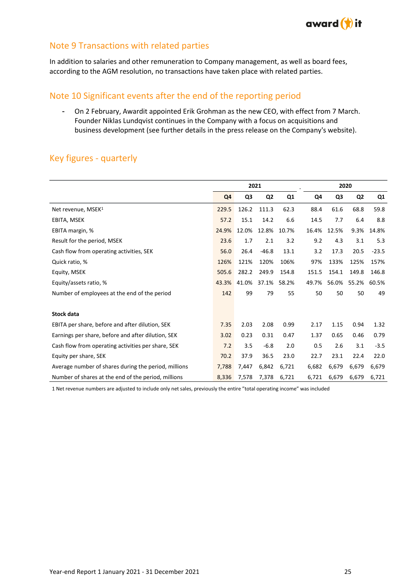

## Note 9 Transactions with related parties

In addition to salaries and other remuneration to Company management, as well as board fees, according to the AGM resolution, no transactions have taken place with related parties.

## Note 10 Significant events after the end of the reporting period

- On 2 February, Awardit appointed Erik Grohman as the new CEO, with effect from 7 March. Founder Niklas Lundqvist continues in the Company with a focus on acquisitions and business development (see further details in the press release on the Company's website).

# Key figures - quarterly

|                                                      | 2021  |       |                |       | 2020  |       |                |         |
|------------------------------------------------------|-------|-------|----------------|-------|-------|-------|----------------|---------|
|                                                      | Q4    | Q3    | Q <sub>2</sub> | Q1    | Q4    | Q3    | Q <sub>2</sub> | Q1      |
| Net revenue, MSEK <sup>1</sup>                       | 229.5 | 126.2 | 111.3          | 62.3  | 88.4  | 61.6  | 68.8           | 59.8    |
| EBITA, MSEK                                          | 57.2  | 15.1  | 14.2           | 6.6   | 14.5  | 7.7   | 6.4            | 8.8     |
| EBITA margin, %                                      | 24.9% | 12.0% | 12.8%          | 10.7% | 16.4% | 12.5% | 9.3%           | 14.8%   |
| Result for the period, MSEK                          | 23.6  | 1.7   | 2.1            | 3.2   | 9.2   | 4.3   | 3.1            | 5.3     |
| Cash flow from operating activities, SEK             | 56.0  | 26.4  | $-46.8$        | 13.1  | 3.2   | 17.3  | 20.5           | $-23.5$ |
| Quick ratio, %                                       | 126%  | 121%  | 120%           | 106%  | 97%   | 133%  | 125%           | 157%    |
| Equity, MSEK                                         | 505.6 | 282.2 | 249.9          | 154.8 | 151.5 | 154.1 | 149.8          | 146.8   |
| Equity/assets ratio, %                               | 43.3% | 41.0% | 37.1%          | 58.2% | 49.7% | 56.0% | 55.2%          | 60.5%   |
| Number of employees at the end of the period         | 142   | 99    | 79             | 55    | 50    | 50    | 50             | 49      |
|                                                      |       |       |                |       |       |       |                |         |
| <b>Stock data</b>                                    |       |       |                |       |       |       |                |         |
| EBITA per share, before and after dilution, SEK      | 7.35  | 2.03  | 2.08           | 0.99  | 2.17  | 1.15  | 0.94           | 1.32    |
| Earnings per share, before and after dilution, SEK   | 3.02  | 0.23  | 0.31           | 0.47  | 1.37  | 0.65  | 0.46           | 0.79    |
| Cash flow from operating activities per share, SEK   | 7.2   | 3.5   | $-6.8$         | 2.0   | 0.5   | 2.6   | 3.1            | $-3.5$  |
| Equity per share, SEK                                | 70.2  | 37.9  | 36.5           | 23.0  | 22.7  | 23.1  | 22.4           | 22.0    |
| Average number of shares during the period, millions | 7,788 | 7,447 | 6,842          | 6,721 | 6,682 | 6,679 | 6,679          | 6,679   |
| Number of shares at the end of the period, millions  | 8,336 | 7,578 | 7,378          | 6,721 | 6,721 | 6,679 | 6,679          | 6,721   |

1 Net revenue numbers are adjusted to include only net sales, previously the entire "total operating income" was included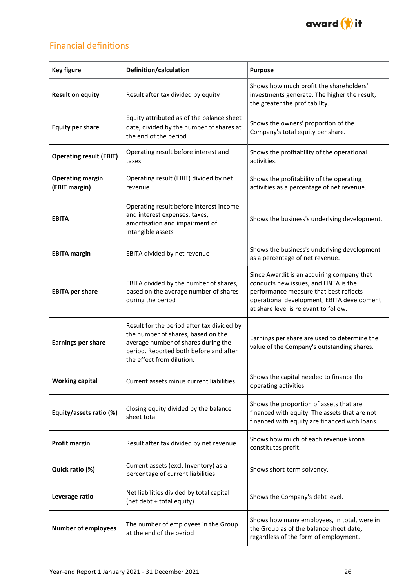

# Financial definitions

| <b>Key figure</b>                        | Definition/calculation                                                                                                                                                                         | <b>Purpose</b>                                                                                                                                                                                                       |
|------------------------------------------|------------------------------------------------------------------------------------------------------------------------------------------------------------------------------------------------|----------------------------------------------------------------------------------------------------------------------------------------------------------------------------------------------------------------------|
| <b>Result on equity</b>                  | Result after tax divided by equity                                                                                                                                                             | Shows how much profit the shareholders'<br>investments generate. The higher the result,<br>the greater the profitability.                                                                                            |
| <b>Equity per share</b>                  | Equity attributed as of the balance sheet<br>date, divided by the number of shares at<br>the end of the period                                                                                 | Shows the owners' proportion of the<br>Company's total equity per share.                                                                                                                                             |
| <b>Operating result (EBIT)</b>           | Operating result before interest and<br>taxes                                                                                                                                                  | Shows the profitability of the operational<br>activities.                                                                                                                                                            |
| <b>Operating margin</b><br>(EBIT margin) | Operating result (EBIT) divided by net<br>revenue                                                                                                                                              | Shows the profitability of the operating<br>activities as a percentage of net revenue.                                                                                                                               |
| <b>EBITA</b>                             | Operating result before interest income<br>and interest expenses, taxes,<br>amortisation and impairment of<br>intangible assets                                                                | Shows the business's underlying development.                                                                                                                                                                         |
| <b>EBITA margin</b>                      | EBITA divided by net revenue                                                                                                                                                                   | Shows the business's underlying development<br>as a percentage of net revenue.                                                                                                                                       |
| <b>EBITA per share</b>                   | EBITA divided by the number of shares,<br>based on the average number of shares<br>during the period                                                                                           | Since Awardit is an acquiring company that<br>conducts new issues, and EBITA is the<br>performance measure that best reflects<br>operational development, EBITA development<br>at share level is relevant to follow. |
| <b>Earnings per share</b>                | Result for the period after tax divided by<br>the number of shares, based on the<br>average number of shares during the<br>period. Reported both before and after<br>the effect from dilution. | Earnings per share are used to determine the<br>value of the Company's outstanding shares.                                                                                                                           |
| <b>Working capital</b>                   | Current assets minus current liabilities                                                                                                                                                       | Shows the capital needed to finance the<br>operating activities.                                                                                                                                                     |
| Equity/assets ratio (%)                  | Closing equity divided by the balance<br>sheet total                                                                                                                                           | Shows the proportion of assets that are<br>financed with equity. The assets that are not<br>financed with equity are financed with loans.                                                                            |
| Profit margin                            | Result after tax divided by net revenue                                                                                                                                                        | Shows how much of each revenue krona<br>constitutes profit.                                                                                                                                                          |
| Quick ratio (%)                          | Current assets (excl. Inventory) as a<br>percentage of current liabilities                                                                                                                     | Shows short-term solvency.                                                                                                                                                                                           |
| Leverage ratio                           | Net liabilities divided by total capital<br>(net debt + total equity)                                                                                                                          | Shows the Company's debt level.                                                                                                                                                                                      |
| <b>Number of employees</b>               | The number of employees in the Group<br>at the end of the period                                                                                                                               | Shows how many employees, in total, were in<br>the Group as of the balance sheet date,<br>regardless of the form of employment.                                                                                      |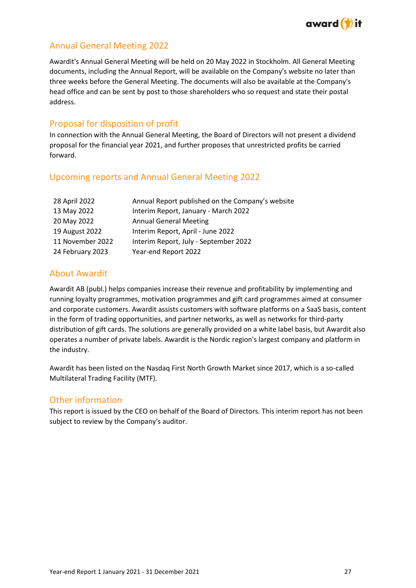

# Annual General Meeting 2022

Awardit's Annual General Meeting will be held on 20 May 2022 in Stockholm. All General Meeting documents, including the Annual Report, will be available on the Company's website no later than three weeks before the General Meeting. The documents will also be available at the Company's head office and can be sent by post to those shareholders who so request and state their postal address.

# Proposal for disposition of profit

In connection with the Annual General Meeting, the Board of Directors will not present a dividend proposal for the financial year 2021, and further proposes that unrestricted profits be carried forward.

## Upcoming reports and Annual General Meeting 2022

| 28 April 2022    | Annual Report published on the Company's website |
|------------------|--------------------------------------------------|
| 13 May 2022      | Interim Report, January - March 2022             |
| 20 May 2022      | <b>Annual General Meeting</b>                    |
| 19 August 2022   | Interim Report, April - June 2022                |
| 11 November 2022 | Interim Report, July - September 2022            |
| 24 February 2023 | Year-end Report 2022                             |

# About Awardit

Awardit AB (publ.) helps companies increase their revenue and profitability by implementing and running loyalty programmes, motivation programmes and gift card programmes aimed at consumer and corporate customers. Awardit assists customers with software platforms on a SaaS basis, content in the form of trading opportunities, and partner networks, as well as networks for third-party distribution of gift cards. The solutions are generally provided on a white label basis, but Awardit also operates a number of private labels. Awardit is the Nordic region's largest company and platform in the industry.

Awardit has been listed on the Nasdaq First North Growth Market since 2017, which is a so-called Multilateral Trading Facility (MTF).

## Other information

This report is issued by the CEO on behalf of the Board of Directors. This interim report has not been subject to review by the Company's auditor.